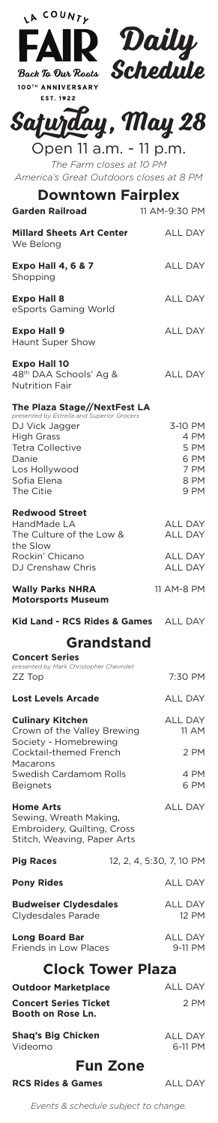



## **Saturday, May 28**

Open 11 a.m. - 11 p.m. *The Farm closes at 10 PM America's Great Outdoors closes at 8 PM*

| <b>Downtown Fairplex</b><br><b>Garden Railroad</b><br>11 AM-9:30 PM                                                                                                                                |                                                         |
|----------------------------------------------------------------------------------------------------------------------------------------------------------------------------------------------------|---------------------------------------------------------|
| <b>Millard Sheets Art Center</b><br>We Belong                                                                                                                                                      | <b>ALL DAY</b>                                          |
| <b>Expo Hall 4, 6 &amp; 7</b><br>Shopping                                                                                                                                                          | <b>ALL DAY</b>                                          |
| <b>Expo Hall 8</b><br>eSports Gaming World                                                                                                                                                         | <b>ALL DAY</b>                                          |
| <b>Expo Hall 9</b><br>Haunt Super Show                                                                                                                                                             | <b>ALL DAY</b>                                          |
| <b>Expo Hall 10</b><br>48 <sup>th</sup> DAA Schools' Ag &<br><b>Nutrition Fair</b>                                                                                                                 | <b>ALL DAY</b>                                          |
| The Plaza Stage//NextFest LA<br>presented by Estrella and Superior Grocers<br>DJ Vick Jagger<br><b>High Grass</b><br><b>Tetra Collective</b><br>Danie<br>Los Hollywood<br>Sofia Elena<br>The Citie | 3-10 PM<br>4 PM<br>5 PM<br>6 PM<br>7 PM<br>8 PM<br>9 PM |
| <b>Redwood Street</b><br>HandMade LA<br>The Culture of the Low &                                                                                                                                   | <b>ALL DAY</b><br><b>ALL DAY</b>                        |
| the Slow<br>Rockin' Chicano<br>DJ Crenshaw Chris                                                                                                                                                   | <b>ALL DAY</b><br><b>ALL DAY</b>                        |
| <b>Wally Parks NHRA</b><br><b>Motorsports Museum</b>                                                                                                                                               | 11 AM-8 PM                                              |
| Kid Land - RCS Rides & Games ALL DAY                                                                                                                                                               |                                                         |
| <b>Grandstand</b>                                                                                                                                                                                  |                                                         |
| <b>Concert Series</b><br>presented by Mark Christopher Chevrolet<br>ZZ Top                                                                                                                         | 7:30 PM                                                 |
| <b>Lost Levels Arcade</b>                                                                                                                                                                          | <b>ALL DAY</b>                                          |
| <b>Culinary Kitchen</b><br>Crown of the Valley Brewing<br>Society - Homebrewing                                                                                                                    | ALL DAY<br>11 AM                                        |
| Cocktail-themed French<br>Macarons                                                                                                                                                                 | 2 PM                                                    |
| Swedish Cardamom Rolls<br><b>Beignets</b>                                                                                                                                                          | 4 PM<br>6 PM                                            |
| <b>Home Arts</b><br>Sewing, Wreath Making,<br>Embroidery, Quilting, Cross<br>Stitch, Weaving, Paper Arts                                                                                           | ALL DAY                                                 |
| <b>Pig Races</b>                                                                                                                                                                                   | 12, 2, 4, 5:30, 7, 10 PM                                |
| <b>Pony Rides</b>                                                                                                                                                                                  | <b>ALL DAY</b>                                          |
| <b>Budweiser Clydesdales</b><br>Clydesdales Parade                                                                                                                                                 | <b>ALL DAY</b><br>12 PM                                 |
| <b>Long Board Bar</b><br>Friends in Low Places                                                                                                                                                     | ALL DAY<br>9-11 PM                                      |
| <b>Clock Tower Plaza</b>                                                                                                                                                                           |                                                         |
| <b>Outdoor Marketplace</b><br><b>Concert Series Ticket</b><br><b>Booth on Rose Ln.</b>                                                                                                             | <b>ALL DAY</b><br>2 PM                                  |
| <b>Shaq's Big Chicken</b><br>Videomo                                                                                                                                                               | ALL DAY<br>6-11 PM                                      |

## **Fun Zone**

**RCS Rides & Games** ALL DAY

*Events & schedule subject to change.*